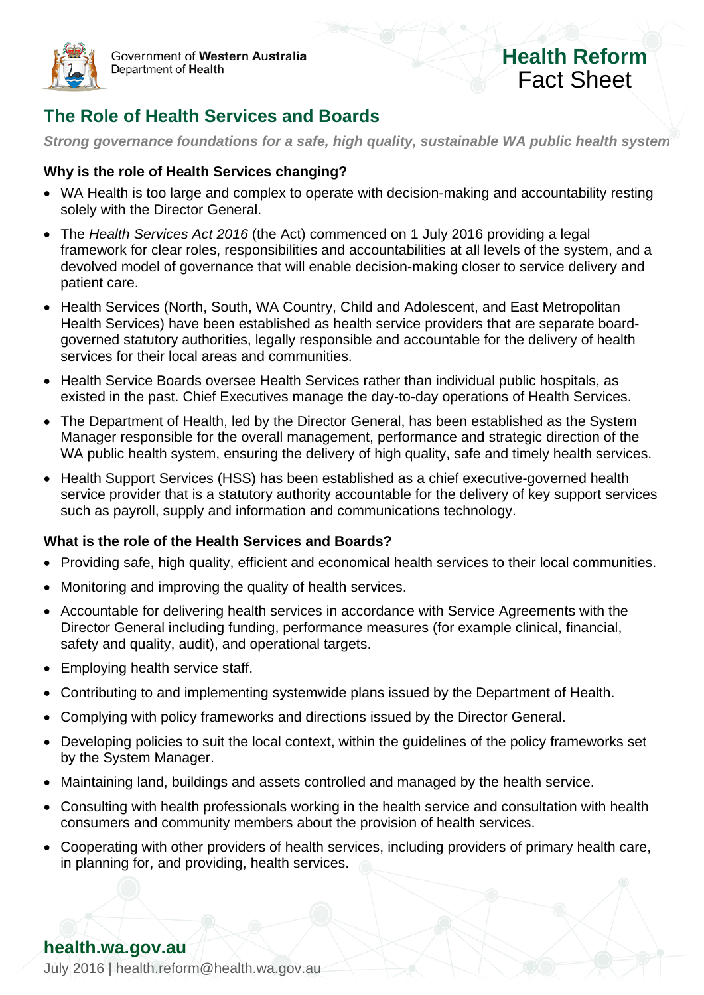

Government of Western Australia Department of Health

# **Health Reform** Fact Sheet

# **The Role of Health Services and Boards**

*Strong governance foundations for a safe, high quality, sustainable WA public health system*

#### **Why is the role of Health Services changing?**

- WA Health is too large and complex to operate with decision-making and accountability resting solely with the Director General.
- The *Health Services Act 2016* (the Act) commenced on 1 July 2016 providing a legal framework for clear roles, responsibilities and accountabilities at all levels of the system, and a devolved model of governance that will enable decision-making closer to service delivery and patient care.
- Health Services (North, South, WA Country, Child and Adolescent, and East Metropolitan Health Services) have been established as health service providers that are separate boardgoverned statutory authorities, legally responsible and accountable for the delivery of health services for their local areas and communities.
- Health Service Boards oversee Health Services rather than individual public hospitals, as existed in the past. Chief Executives manage the day-to-day operations of Health Services.
- The Department of Health, led by the Director General, has been established as the System Manager responsible for the overall management, performance and strategic direction of the WA public health system, ensuring the delivery of high quality, safe and timely health services.
- Health Support Services (HSS) has been established as a chief executive-governed health service provider that is a statutory authority accountable for the delivery of key support services such as payroll, supply and information and communications technology.

#### **What is the role of the Health Services and Boards?**

- Providing safe, high quality, efficient and economical health services to their local communities.
- Monitoring and improving the quality of health services.
- Accountable for delivering health services in accordance with Service Agreements with the Director General including funding, performance measures (for example clinical, financial, safety and quality, audit), and operational targets.
- Employing health service staff.
- Contributing to and implementing systemwide plans issued by the Department of Health.
- Complying with policy frameworks and directions issued by the Director General.
- Developing policies to suit the local context, within the guidelines of the policy frameworks set by the System Manager.
- Maintaining land, buildings and assets controlled and managed by the health service.
- Consulting with health professionals working in the health service and consultation with health consumers and community members about the provision of health services.
- Cooperating with other providers of health services, including providers of primary health care, in planning for, and providing, health services.

## **health.wa.gov.au**

July 2016 | [health.reform@health.wa.gov.au](mailto:health.reform@health.wa.gov.au)